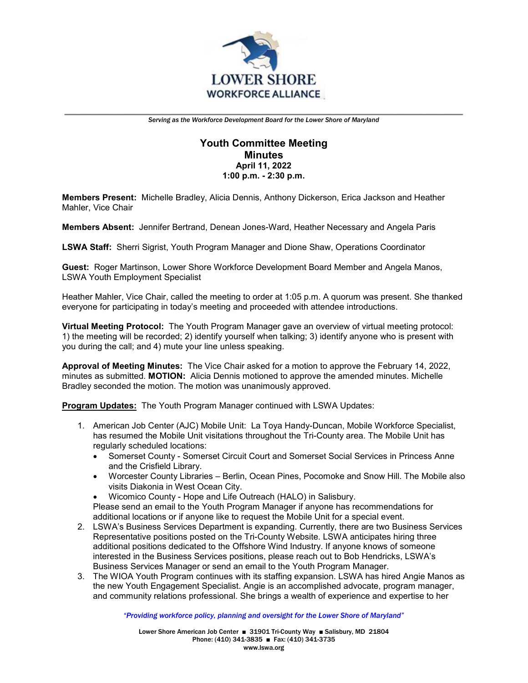

# **Youth Committee Meeting Minutes April 11, 2022 1:00 p.m. - 2:30 p.m.**

**Members Present:** Michelle Bradley, Alicia Dennis, Anthony Dickerson, Erica Jackson and Heather Mahler, Vice Chair

**Members Absent:** Jennifer Bertrand, Denean Jones-Ward, Heather Necessary and Angela Paris

**LSWA Staff:** Sherri Sigrist, Youth Program Manager and Dione Shaw, Operations Coordinator

**Guest:** Roger Martinson, Lower Shore Workforce Development Board Member and Angela Manos, LSWA Youth Employment Specialist

Heather Mahler, Vice Chair, called the meeting to order at 1:05 p.m. A quorum was present. She thanked everyone for participating in today's meeting and proceeded with attendee introductions.

**Virtual Meeting Protocol:** The Youth Program Manager gave an overview of virtual meeting protocol: 1) the meeting will be recorded; 2) identify yourself when talking; 3) identify anyone who is present with you during the call; and 4) mute your line unless speaking.

**Approval of Meeting Minutes:** The Vice Chair asked for a motion to approve the February 14, 2022, minutes as submitted. **MOTION:** Alicia Dennis motioned to approve the amended minutes. Michelle Bradley seconded the motion. The motion was unanimously approved.

**Program Updates:** The Youth Program Manager continued with LSWA Updates:

- 1. American Job Center (AJC) Mobile Unit: La Toya Handy-Duncan, Mobile Workforce Specialist, has resumed the Mobile Unit visitations throughout the Tri-County area. The Mobile Unit has regularly scheduled locations:
	- Somerset County Somerset Circuit Court and Somerset Social Services in Princess Anne and the Crisfield Library.
	- Worcester County Libraries Berlin, Ocean Pines, Pocomoke and Snow Hill. The Mobile also visits Diakonia in West Ocean City.
	- Wicomico County Hope and Life Outreach (HALO) in Salisbury.
	- Please send an email to the Youth Program Manager if anyone has recommendations for additional locations or if anyone like to request the Mobile Unit for a special event.
- 2. LSWA's Business Services Department is expanding. Currently, there are two Business Services Representative positions posted on the Tri-County Website. LSWA anticipates hiring three additional positions dedicated to the Offshore Wind Industry. If anyone knows of someone interested in the Business Services positions, please reach out to Bob Hendricks, LSWA's Business Services Manager or send an email to the Youth Program Manager.
- 3. The WIOA Youth Program continues with its staffing expansion. LSWA has hired Angie Manos as the new Youth Engagement Specialist. Angie is an accomplished advocate, program manager, and community relations professional. She brings a wealth of experience and expertise to her

*"Providing workforce policy, planning and oversight for the Lower Shore of Maryland"*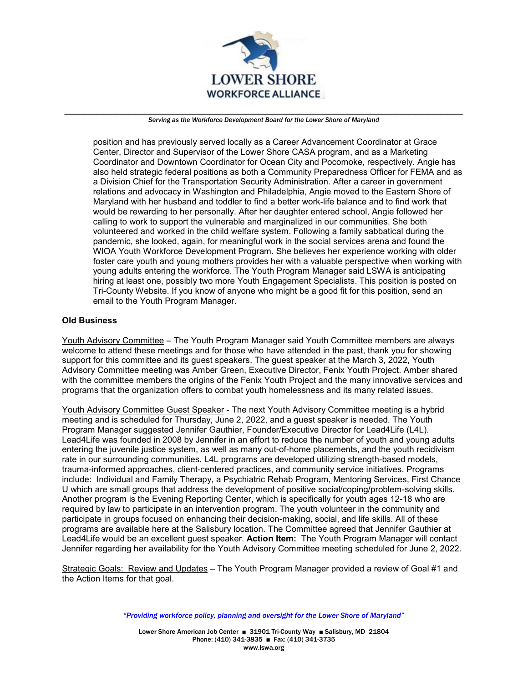

position and has previously served locally as a Career Advancement Coordinator at Grace Center, Director and Supervisor of the Lower Shore CASA program, and as a Marketing Coordinator and Downtown Coordinator for Ocean City and Pocomoke, respectively. Angie has also held strategic federal positions as both a Community Preparedness Officer for FEMA and as a Division Chief for the Transportation Security Administration. After a career in government relations and advocacy in Washington and Philadelphia, Angie moved to the Eastern Shore of Maryland with her husband and toddler to find a better work-life balance and to find work that would be rewarding to her personally. After her daughter entered school, Angie followed her calling to work to support the vulnerable and marginalized in our communities. She both volunteered and worked in the child welfare system. Following a family sabbatical during the pandemic, she looked, again, for meaningful work in the social services arena and found the WIOA Youth Workforce Development Program. She believes her experience working with older foster care youth and young mothers provides her with a valuable perspective when working with young adults entering the workforce. The Youth Program Manager said LSWA is anticipating hiring at least one, possibly two more Youth Engagement Specialists. This position is posted on Tri-County Website. If you know of anyone who might be a good fit for this position, send an email to the Youth Program Manager.

### **Old Business**

Youth Advisory Committee – The Youth Program Manager said Youth Committee members are always welcome to attend these meetings and for those who have attended in the past, thank you for showing support for this committee and its guest speakers. The guest speaker at the March 3, 2022, Youth Advisory Committee meeting was Amber Green, Executive Director, Fenix Youth Project. Amber shared with the committee members the origins of the Fenix Youth Project and the many innovative services and programs that the organization offers to combat youth homelessness and its many related issues.

Youth Advisory Committee Guest Speaker - The next Youth Advisory Committee meeting is a hybrid meeting and is scheduled for Thursday, June 2, 2022, and a guest speaker is needed. The Youth Program Manager suggested Jennifer Gauthier, Founder/Executive Director for Lead4Life (L4L). Lead4Life was founded in 2008 by Jennifer in an effort to reduce the number of youth and young adults entering the juvenile justice system, as well as many out-of-home placements, and the youth recidivism rate in our surrounding communities. L4L programs are developed utilizing strength-based models, trauma-informed approaches, client-centered practices, and community service initiatives. Programs include: Individual and Family Therapy, a Psychiatric Rehab Program, Mentoring Services, First Chance U which are small groups that address the development of positive social/coping/problem-solving skills. Another program is the Evening Reporting Center, which is specifically for youth ages 12-18 who are required by law to participate in an intervention program. The youth volunteer in the community and participate in groups focused on enhancing their decision-making, social, and life skills. All of these programs are available here at the Salisbury location. The Committee agreed that Jennifer Gauthier at Lead4Life would be an excellent guest speaker. **Action Item:** The Youth Program Manager will contact Jennifer regarding her availability for the Youth Advisory Committee meeting scheduled for June 2, 2022.

Strategic Goals: Review and Updates – The Youth Program Manager provided a review of Goal #1 and the Action Items for that goal.

*"Providing workforce policy, planning and oversight for the Lower Shore of Maryland"*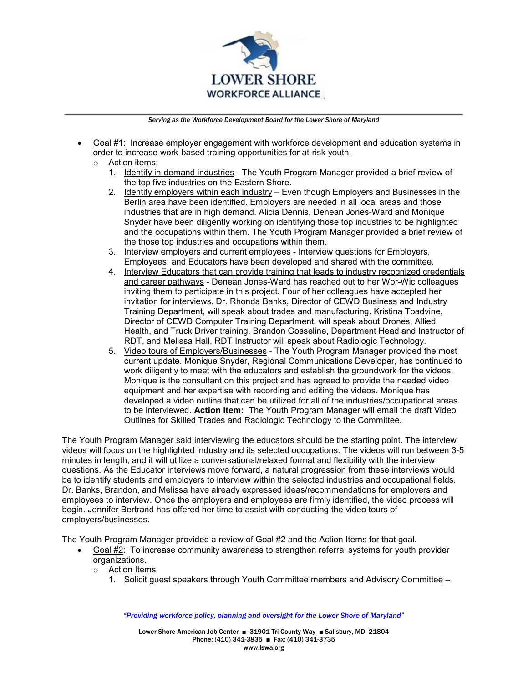

- Goal #1: Increase employer engagement with workforce development and education systems in order to increase work-based training opportunities for at-risk youth.
	- o Action items:
		- 1. Identify in-demand industries The Youth Program Manager provided a brief review of the top five industries on the Eastern Shore.
		- 2. Identify employers within each industry Even though Employers and Businesses in the Berlin area have been identified. Employers are needed in all local areas and those industries that are in high demand. Alicia Dennis, Denean Jones-Ward and Monique Snyder have been diligently working on identifying those top industries to be highlighted and the occupations within them. The Youth Program Manager provided a brief review of the those top industries and occupations within them.
		- 3. Interview employers and current employees Interview questions for Employers, Employees, and Educators have been developed and shared with the committee.
		- 4. Interview Educators that can provide training that leads to industry recognized credentials and career pathways - Denean Jones-Ward has reached out to her Wor-Wic colleagues inviting them to participate in this project. Four of her colleagues have accepted her invitation for interviews. Dr. Rhonda Banks, Director of CEWD Business and Industry Training Department, will speak about trades and manufacturing. Kristina Toadvine, Director of CEWD Computer Training Department, will speak about Drones, Allied Health, and Truck Driver training. Brandon Gosseline, Department Head and Instructor of RDT, and Melissa Hall, RDT Instructor will speak about Radiologic Technology.
		- 5. Video tours of Employers/Businesses The Youth Program Manager provided the most current update. Monique Snyder, Regional Communications Developer, has continued to work diligently to meet with the educators and establish the groundwork for the videos. Monique is the consultant on this project and has agreed to provide the needed video equipment and her expertise with recording and editing the videos. Monique has developed a video outline that can be utilized for all of the industries/occupational areas to be interviewed. **Action Item:** The Youth Program Manager will email the draft Video Outlines for Skilled Trades and Radiologic Technology to the Committee.

The Youth Program Manager said interviewing the educators should be the starting point. The interview videos will focus on the highlighted industry and its selected occupations. The videos will run between 3-5 minutes in length, and it will utilize a conversational/relaxed format and flexibility with the interview questions. As the Educator interviews move forward, a natural progression from these interviews would be to identify students and employers to interview within the selected industries and occupational fields. Dr. Banks, Brandon, and Melissa have already expressed ideas/recommendations for employers and employees to interview. Once the employers and employees are firmly identified, the video process will begin. Jennifer Bertrand has offered her time to assist with conducting the video tours of employers/businesses.

The Youth Program Manager provided a review of Goal #2 and the Action Items for that goal.

- Goal #2: To increase community awareness to strengthen referral systems for youth provider organizations.
	- o Action Items
		- 1. Solicit guest speakers through Youth Committee members and Advisory Committee –

*"Providing workforce policy, planning and oversight for the Lower Shore of Maryland"*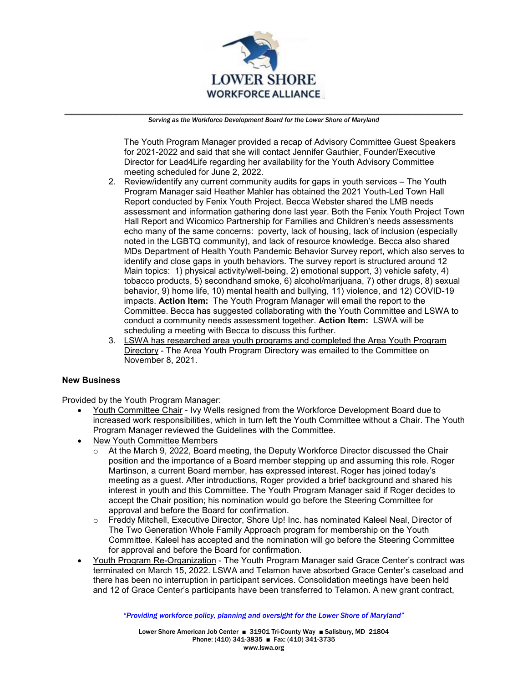

The Youth Program Manager provided a recap of Advisory Committee Guest Speakers for 2021-2022 and said that she will contact Jennifer Gauthier, Founder/Executive Director for Lead4Life regarding her availability for the Youth Advisory Committee meeting scheduled for June 2, 2022.

- 2. Review/identify any current community audits for gaps in youth services The Youth Program Manager said Heather Mahler has obtained the 2021 Youth-Led Town Hall Report conducted by Fenix Youth Project. Becca Webster shared the LMB needs assessment and information gathering done last year. Both the Fenix Youth Project Town Hall Report and Wicomico Partnership for Families and Children's needs assessments echo many of the same concerns: poverty, lack of housing, lack of inclusion (especially noted in the LGBTQ community), and lack of resource knowledge. Becca also shared MDs Department of Health Youth Pandemic Behavior Survey report, which also serves to identify and close gaps in youth behaviors. The survey report is structured around 12 Main topics: 1) physical activity/well-being, 2) emotional support, 3) vehicle safety, 4) tobacco products, 5) secondhand smoke, 6) alcohol/marijuana, 7) other drugs, 8) sexual behavior, 9) home life, 10) mental health and bullying, 11) violence, and 12) COVID-19 impacts. **Action Item:** The Youth Program Manager will email the report to the Committee. Becca has suggested collaborating with the Youth Committee and LSWA to conduct a community needs assessment together. **Action Item:** LSWA will be scheduling a meeting with Becca to discuss this further.
- 3. LSWA has researched area youth programs and completed the Area Youth Program Directory - The Area Youth Program Directory was emailed to the Committee on November 8, 2021.

### **New Business**

Provided by the Youth Program Manager:

- Youth Committee Chair Ivy Wells resigned from the Workforce Development Board due to increased work responsibilities, which in turn left the Youth Committee without a Chair. The Youth Program Manager reviewed the Guidelines with the Committee.
- New Youth Committee Members
	- o At the March 9, 2022, Board meeting, the Deputy Workforce Director discussed the Chair position and the importance of a Board member stepping up and assuming this role. Roger Martinson, a current Board member, has expressed interest. Roger has joined today's meeting as a guest. After introductions, Roger provided a brief background and shared his interest in youth and this Committee. The Youth Program Manager said if Roger decides to accept the Chair position; his nomination would go before the Steering Committee for approval and before the Board for confirmation.
	- o Freddy Mitchell, Executive Director, Shore Up! Inc. has nominated Kaleel Neal, Director of The Two Generation Whole Family Approach program for membership on the Youth Committee. Kaleel has accepted and the nomination will go before the Steering Committee for approval and before the Board for confirmation.
- Youth Program Re-Organization The Youth Program Manager said Grace Center's contract was terminated on March 15, 2022. LSWA and Telamon have absorbed Grace Center's caseload and there has been no interruption in participant services. Consolidation meetings have been held and 12 of Grace Center's participants have been transferred to Telamon. A new grant contract,

*"Providing workforce policy, planning and oversight for the Lower Shore of Maryland"*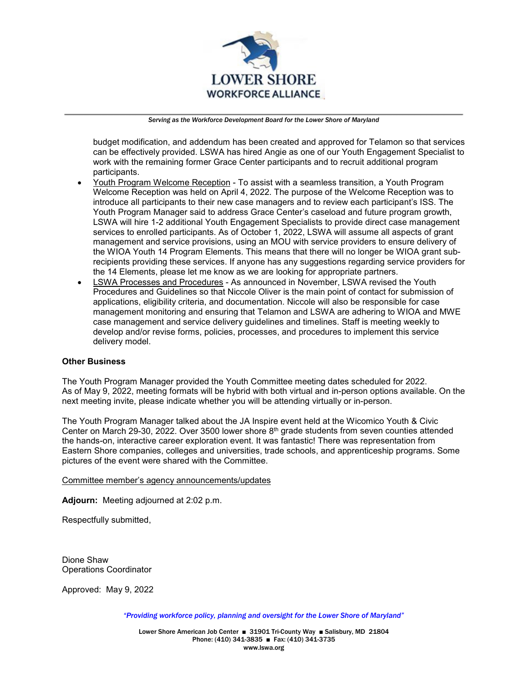

budget modification, and addendum has been created and approved for Telamon so that services can be effectively provided. LSWA has hired Angie as one of our Youth Engagement Specialist to work with the remaining former Grace Center participants and to recruit additional program participants.

- Youth Program Welcome Reception To assist with a seamless transition, a Youth Program Welcome Reception was held on April 4, 2022. The purpose of the Welcome Reception was to introduce all participants to their new case managers and to review each participant's ISS. The Youth Program Manager said to address Grace Center's caseload and future program growth, LSWA will hire 1-2 additional Youth Engagement Specialists to provide direct case management services to enrolled participants. As of October 1, 2022, LSWA will assume all aspects of grant management and service provisions, using an MOU with service providers to ensure delivery of the WIOA Youth 14 Program Elements. This means that there will no longer be WIOA grant subrecipients providing these services. If anyone has any suggestions regarding service providers for the 14 Elements, please let me know as we are looking for appropriate partners.
- LSWA Processes and Procedures As announced in November, LSWA revised the Youth Procedures and Guidelines so that Niccole Oliver is the main point of contact for submission of applications, eligibility criteria, and documentation. Niccole will also be responsible for case management monitoring and ensuring that Telamon and LSWA are adhering to WIOA and MWE case management and service delivery guidelines and timelines. Staff is meeting weekly to develop and/or revise forms, policies, processes, and procedures to implement this service delivery model.

## **Other Business**

The Youth Program Manager provided the Youth Committee meeting dates scheduled for 2022. As of May 9, 2022, meeting formats will be hybrid with both virtual and in-person options available. On the next meeting invite, please indicate whether you will be attending virtually or in-person.

The Youth Program Manager talked about the JA Inspire event held at the Wicomico Youth & Civic Center on March 29-30, 2022. Over 3500 lower shore  $8<sup>th</sup>$  grade students from seven counties attended the hands-on, interactive career exploration event. It was fantastic! There was representation from Eastern Shore companies, colleges and universities, trade schools, and apprenticeship programs. Some pictures of the event were shared with the Committee.

#### Committee member's agency announcements/updates

**Adjourn:** Meeting adjourned at 2:02 p.m.

Respectfully submitted,

Dione Shaw Operations Coordinator

Approved: May 9, 2022

*"Providing workforce policy, planning and oversight for the Lower Shore of Maryland"*